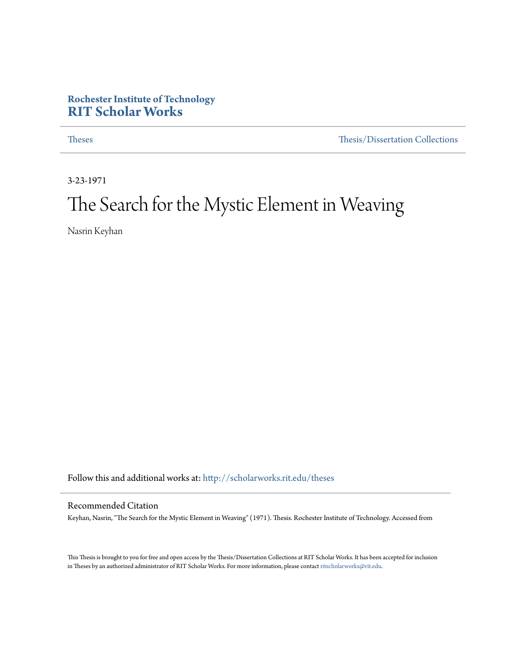## **Rochester Institute of Technology [RIT Scholar Works](http://scholarworks.rit.edu?utm_source=scholarworks.rit.edu%2Ftheses%2F3300&utm_medium=PDF&utm_campaign=PDFCoverPages)**

[Theses](http://scholarworks.rit.edu/theses?utm_source=scholarworks.rit.edu%2Ftheses%2F3300&utm_medium=PDF&utm_campaign=PDFCoverPages) [Thesis/Dissertation Collections](http://scholarworks.rit.edu/etd_collections?utm_source=scholarworks.rit.edu%2Ftheses%2F3300&utm_medium=PDF&utm_campaign=PDFCoverPages)

3-23-1971

# The Search for the Mystic Element in Weaving

Nasrin Keyhan

Follow this and additional works at: [http://scholarworks.rit.edu/theses](http://scholarworks.rit.edu/theses?utm_source=scholarworks.rit.edu%2Ftheses%2F3300&utm_medium=PDF&utm_campaign=PDFCoverPages)

#### Recommended Citation

Keyhan, Nasrin, "The Search for the Mystic Element in Weaving" (1971). Thesis. Rochester Institute of Technology. Accessed from

This Thesis is brought to you for free and open access by the Thesis/Dissertation Collections at RIT Scholar Works. It has been accepted for inclusion in Theses by an authorized administrator of RIT Scholar Works. For more information, please contact [ritscholarworks@rit.edu](mailto:ritscholarworks@rit.edu).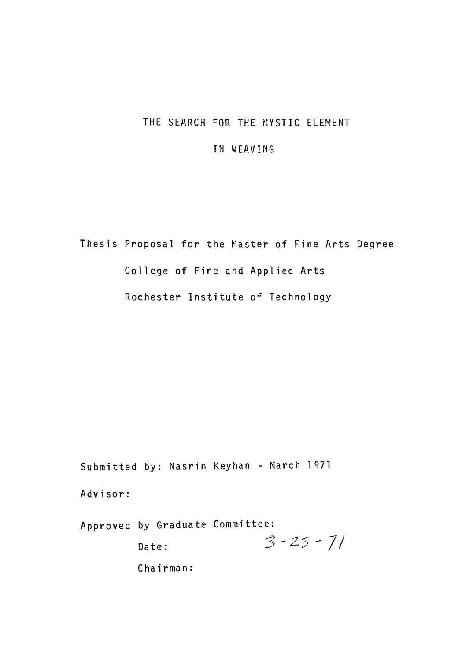#### THE SEARCH FOR THE MYSTIC ELEMENT

#### IN WEAVING

Thesis Proposal for the Master of Fine Arts Degree College of Fine and Applied Arts Rochester Institute of Technology

Submitted by: Nasrin Keyhan - March 1971

Advisor:

Approved by Graduate Committee:

Date:  $3 - 25 - 7/$ 

Chairman: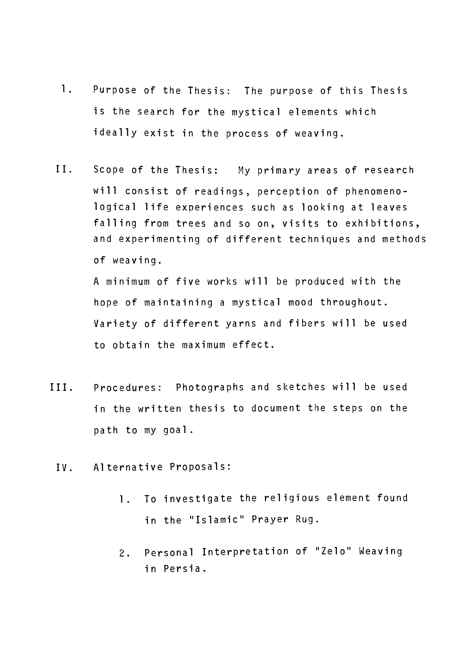- 1. Purpose of the Thesis: The purpose of this Thesis is the search for the mystical elements which ideally exist in the process of weaving.
- II. Scope of the Thesis: My primary areas of research will consist of readings, perception of phenomenological life experiences such as looking at leaves falling from trees and so on, visits to exhibitions, and experimenting of different techniques and methods of weaving.

<sup>A</sup> minimum of five works will be produced with the hope of maintaining <sup>a</sup> mystical mood throughout. Variety of different yarns and fibers will be used to obtain the maximum effect.

- III. Procedures: Photographs and sketches will be used in the written thesis to document the steps on the path to my goal .
	- IV. Alternative Proposals:
		- 1. To investigate the religious element found in the "Islamic" Prayer Rug.
		- 2. Personal Interpretation of "Zelo" Weaving in Persia.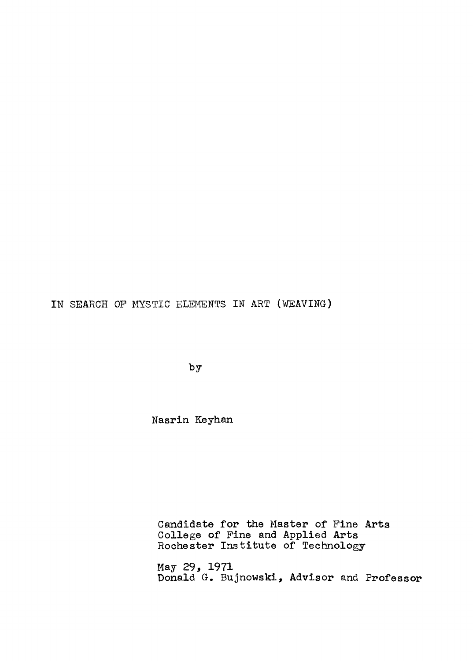IN SEARCH OP MYSTIC ELEMENTS IN ART (WEAVING)

by

Nasrin Keyhan

Candidate for the Master of Pine Arts College of Pine and Applied Arts Rochester Institute of Technology

May 29, 1971 Donald G. Bujnowski, Advisor and Professor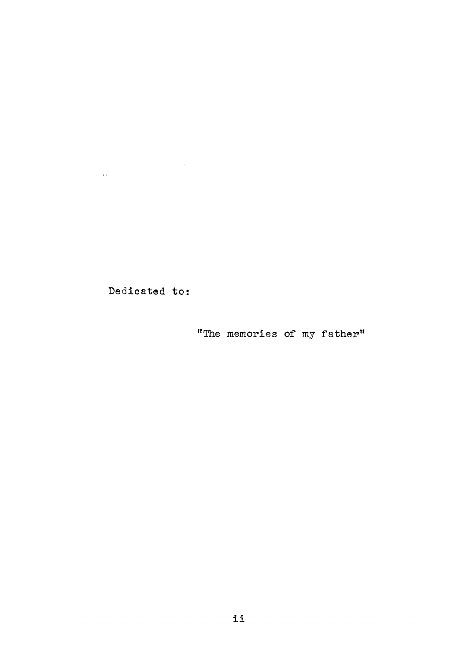Dedicated to:

 $\label{eq:2} \frac{1}{2} \int_{\mathbb{R}^3} \left| \frac{d\mu}{d\mu} \right| \, d\mu = \frac{1}{2} \int_{\mathbb{R}^3} \left| \frac{d\mu}{d\mu} \right| \, d\mu = \frac{1}{2} \int_{\mathbb{R}^3} \left| \frac{d\mu}{d\mu} \right| \, d\mu$ 

"The memories of my father"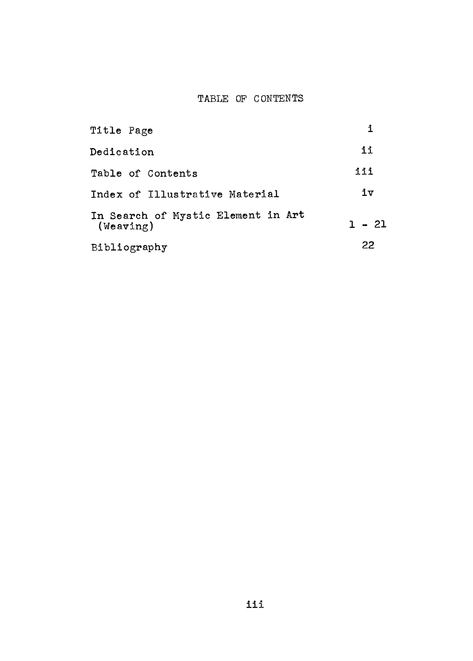### TABLE OP CONTENTS

| Title Page                                      | i        |
|-------------------------------------------------|----------|
| Dedication                                      | ii       |
| Table of Contents                               | 111      |
| Index of Illustrative Material                  | iν       |
| In Search of Mystic Element in Art<br>(Weaving) | $1 - 21$ |
| Bibliography                                    | 22       |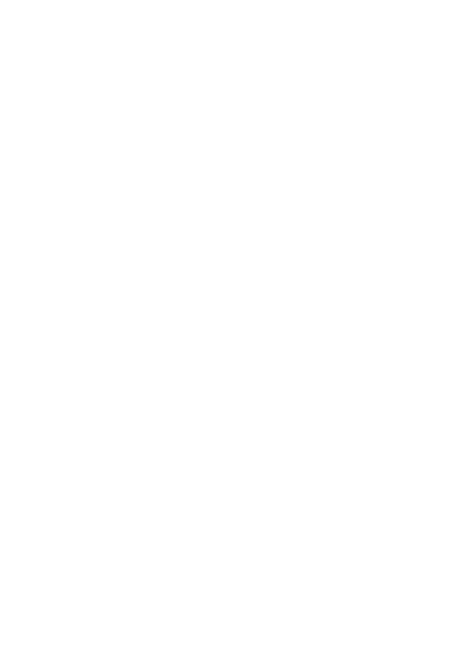The main motivation that always made me eager to learn and led me to seek knowledge was the desire to understand the world. The roots of that desire have been developing in me from my early youth; the time when I would wonder where the rainbow was and why couldn't I pick it up or touch it. My father was the only person who would give an answer to my many questions. His answers would often lead me to further questions and wonder. It was he who introduced me to the world of books and opened a wide horizon of knowledge for me. The library with its infinite resources became my temple and books my only friends. The library was the world caught in <sup>a</sup> mirror; I had to climb up on chairs, on tables at the risk of falling down that would have buried me. There at my father's library I found many answers to my questions but, also I realized how much there was to learn and how endless was this endeavor -- understanding the world. This became more of a continuous and endless process which not only required the knowledge of the outer world and phenomenon occuring around me but also an awareness of my inner self. Knowing myself became the first step of this process although not separate from the rest. Any attempt to know anything in the world required knowing myself and that meant knowing my needs and the motivations behind them.

Needs; I classify them in four levels: Physical

 $-1-$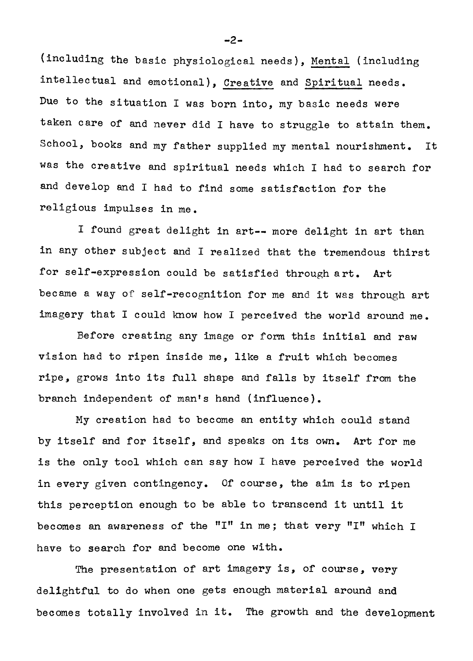( including the basic physiological needs), Mental (including intellectual and emotional), Creative and Spiritual needs. Due to the situation I was born into, my basic needs were taken care of and never did I have to struggle to attain them. School, books and my father supplied my mental nourishment. It was the creative and spiritual needs which I had to search for and develop and I had to find some satisfaction for the religious impulses in me.

I found great delight in art-- more delight in art than in any other subject and I realized that the tremendous thirst for self-expression could be satisfied through art. Art became <sup>a</sup> way of self-recognition for me and it was through art imagery that I could know how I perceived the world around me.

Before creating any image or form this initial and raw vision had to ripen inside me, like a fruit which becomes ripe, grows into its full shape and falls by itself from the branch independent of man's hand (influence).

My creation had to become an entity which could stand by itself and for itself, and speaks on its own. Art for me is the only tool which can say how I have perceived the world in every given contingency. Of course, the aim is to ripen this perception enough to be able to transcend it until it becomes an awareness of the "I" in me; that very "I" which I have to search for and become one with.

The presentation of art imagery is, of course, very delightful to do when one gets enough material around and becomes totally involved in it. The growth and the development

 $-2-$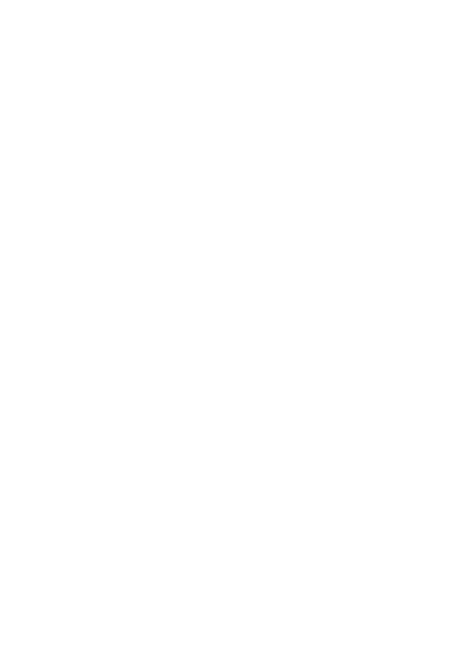of one's search is what counts yet this growth doesn't cease to be through mixing paints on canvas or weaving <sup>a</sup> piece of fabric. It is instead the outcome of it which contains the artist's freedom. It comes into existence when the "I" stands subjectively by itself. Art, before communicating anything to an observer, has to be <sup>a</sup> living subject; <sup>a</sup> subject which contains an "I"; the very "I" of an artist in it. Then, it can become <sup>a</sup> relation. Art has to be <sup>a</sup> relation because it is the cry of <sup>a</sup> lonely man who is divested in the world of illusions and absurdities and where there is nothing to assure him of his relationship to the world.

<sup>A</sup> pleasure which sometimes goes so deep as to make us suppose we have direct understanding of the object that causes it, <sup>a</sup> pleasure which arouses the intelligence, defies it and mkes it love Its defeat, still more, <sup>a</sup> pleasure that can stimulate the strange need to produce or reproduce the thing, the strange need to produce or reproduce the thing,<br>event, object, or state to which it seems attached, and which thus becomes a source of activity without any definite end, capable of Imposing <sup>a</sup> discipline, and call a torment on a whole lifetime, and of filling<br>a zeal, a torment on a whole lifetime, and of filling it, sometimes to overflowing. Such <sup>a</sup> pleasure presents a singularly specious enigma, which could scarcely escape the attention or the clutches of the meta physical hydra. What could have been more worthy of our philosopher's will to power than this order of phenomena in which to feel, to possess, to will, and to make seemed to be joined in an essential and highly remarkable interaction that defied his scholastic, not to say Cartesian, efforts to split up the diffi-<br>culty. The alliance of a form, a material, an idea, culty. The alliance of a form, a material, an idea, an action, and <sup>a</sup> passion; the absence of any clearly determined aim or of any result that might be expressed in finite terms; <sup>a</sup> desire and its recompense, each regenerating the other; a desire that creates and hence causes itself; sometimes breaking away from all particular creation and ultimate satisfaction, thus revealing itself to be <sup>a</sup> desire to create for the sake of creating -- all this aroused the metaphysical mind: to this problem it devoted the same attention as to all the other problems it habitually invents in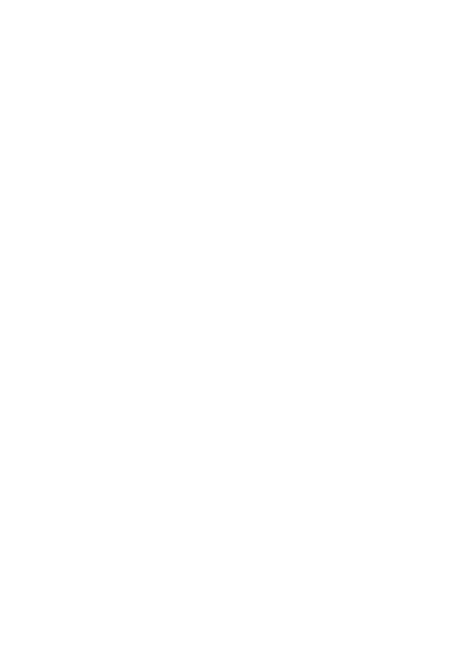exercising its function of reconstructing knowledge exercising its functions.

It was not <sup>a</sup> mere chance that made me study about mysticism but it was that hidden desire in me which urged me to know more about my state of "being."

I always found great joy in reading the beautiful verses of Persian mystic (sufi) poets. In taking this marvel as my theme I noticed the tremendous relationship between craft and mysticism. As I studied more about the Persian mystics, I found out that many of them have been craftsmen; especially weavers and potters.

Craftsmen can reach <sup>a</sup> remarkable state of spiritual awareness. Their total involvement with their media and their deep concentration on what they are creating bring them to that high state of awareness. Both craftsman and mystics require a discipline which is similar in essence. For example, In a process of weaving, the weaver has to go through a long, strenuous, monotonous process In order to weave a piece of fabric. Weaving, therefore, could be <sup>a</sup> practical embodiment of the discipline required for mystic growth and development.

Both mystics and craftsmen have to have a complete devotion toward their goals. The craftsman's devotion is toward the growth of the object he is creating and the mystic's devotion is toward God.

Kandinsky in an article which appeared in Per Sturm,

 $1$ Paul Valery, Aesthetics, (New York, 1964), p. XXI.

 $-l_1-$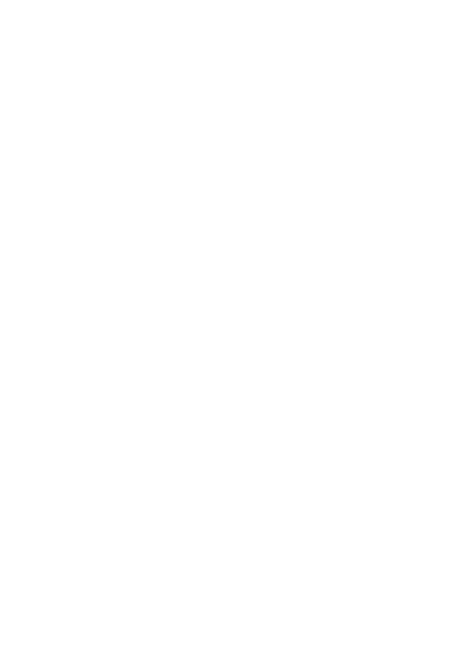wrote his description about art:

<sup>A</sup> work of art consists of two elements, the Inner and the outer. The inner is the emotion in the soul of the artist; this emotion has the capacity to evoke a similar emotion in the observer. Being connected with the body, the soul is affected through the medium of the senses-the felt. Emotions are aroused and stirred by what is sensed. Thus the sensed is the bridge; i.e., the physical real relation between the immaterial (which is the artist's emotion) and the material, which results in the production of <sup>a</sup> work of art. And again, what is sensed is the bridge from the material (the artist and his work) to the immaterial (the emotion in the soul of the observer). The sequence is; emotion (in the artist)-- the sensed-- the art work-- the sensed-- emotion in the observer. The two emotions will be like and The two emotions will be like and equivalent to the extent that the work of art is successful. In this respect painting is in no way different from a song: each is a communication. The successful singer arouses in listeners his emotions; the successful painter should do no less.

The inner element; i.e., emotion, must exist, otherwise the work of art is a sham. The inner element determines the form of the work of art.

In order that the inner element, which at first exists only as an emotion, may develop into a work of art, the second element, i.e., the outer, is used as an embodiment. Emotion is always seeking a means of expression, <sup>a</sup> material form, <sup>a</sup> form that is able to stir the senses. The determining and vital element is the inner one, which controls the outer form, just as an Idea in the mind determines the words we use, and not vice versa. The determination of the form of <sup>a</sup> work of art is therefore determined by the irresistible Inner force: this is the consequence of a harmonious cooperation of the inner and the outer.<sup>2</sup>

I shall say <sup>a</sup> few words about the nature and meaning of mysticism and the origin and historical development of Sufism in order for me to communicate better with the reader,

The word "mysticism" itself comes down to us from the Greeks and is derived from <sup>a</sup> root meaning "to close." The

2Kandinsky, Der Sturm, (Berlin, 1913), p. 20.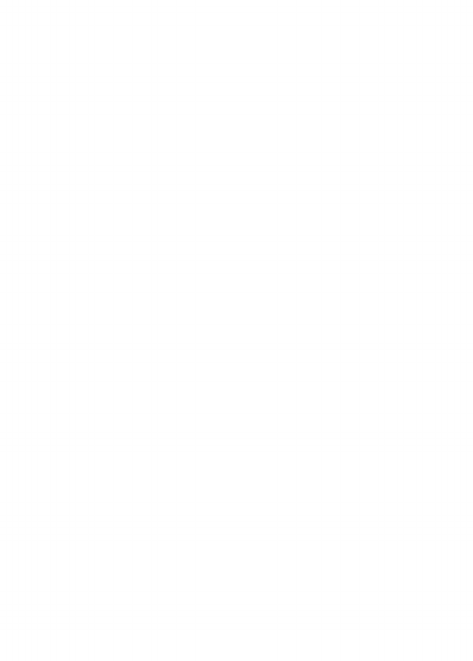mystic was one who had been initiated into esoteric knowledge of divine things, and upon whom was laid the necessity of keeping silence concerning his sacred knowledge. The term "mystical", then, might be applied to any secret cult revealed only to the initiated. The philosophers took over the word from the priests and applied It to their own speculative doctrines and thence It passed over into the Christian Church which held itself to be <sup>a</sup> body of initiates into a truth not possessed by mankind at large. The word was later held to mean closing the mind to the Influence of all external things, so that it might be withdrawn into itself and so be fitted to receive the Divine Illumination. But the real meaning of the word, as we use It now, represents something much wider than its derivation. That for which it stands is a tendency not limited to the Greeks, either priests or philosophers, nor bounded by the far-reaching comprehen siveness of the Christian Church. It denotes something which is to be found in <sup>a</sup> highly developed state in the early religious doctrines of the East; in the Vedie literature; in Buddhism both in India and in China; in <sup>a</sup> form strangely attractive, considering the apparently barren soil in which this flower has bloomed, in Sufism; the mysticism of Islam, which has spread itself and taken firm root In Persia, Turkey and India as well as Arab lands; in Judaism, again an unpromising environment, to all appearances; and finally, as we have seen, In Greece and in the West.

Although I by no means consider myself an expert or

-6-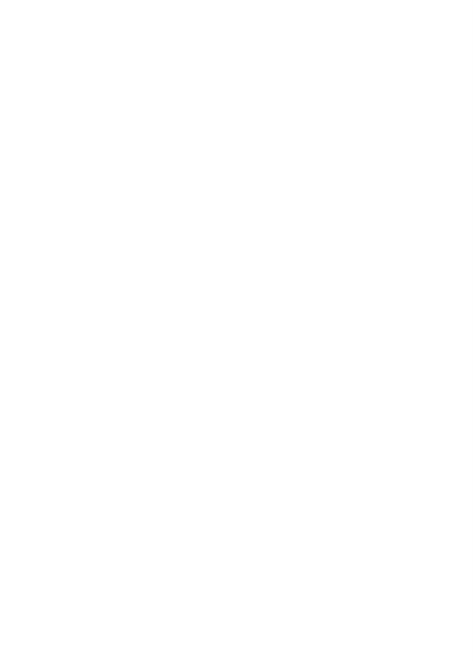even a student of Sufism, I shall try to write a brief account of what a Sufi might call freedom or liberation. In attempting to do so, I shall sketch in <sup>a</sup> broad outline of certain principles and characteristic features of the inner experience of Sufis.

Sufi means "one who is pure in heart" and the name is derived from suf (wool). The common meaning of Sufi has emerged from the fact that most Muslim mystics wear <sup>a</sup> white woolen robe. The Sufi movement started somewhere around the Ninth Century, A. D., in Egypt, Syria, Arabia and became especially popular among Persian poets.

This phenomenon, however, is not very easy to sum up or to define. It is <sup>a</sup> kind of mysticism within the framework of Islam, but at the same time Sufis never founded a new religion or <sup>a</sup> sect. They call themselves Ahl-al-Haqq "The followers of the Real", and their highest aspiration is reunion with the absolute Reality and thereby becoming enlightened and liberated. Although there are numerous definitions of Sufism in Arabic and Persian texts, all of them show that Sufism is indefinable. Jalaliddin Rumi in his Masnavi tells a story about an elephant which was exhibited by some Hindus in <sup>a</sup> dark room. Many people came to see it, but because the room was too dark to see the elephant, they all touched it with their hands to guess what it was like. One felt the trunk and said that the animal was like <sup>a</sup> water pipe; someone else felt its ear and said it must be like <sup>a</sup> huge fan; another felt its long legs and thought it must be pillars; but

 $-7-$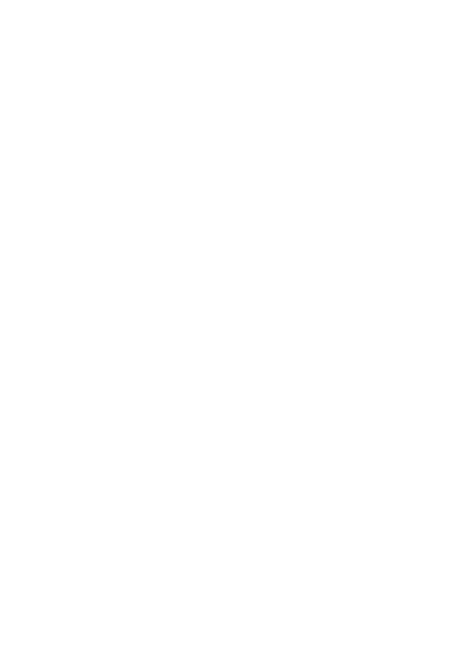nobody could say what the animal really was. So It is with those who define Sufism; they can only express what they have felt and nothing more. Perhaps the following saying of Jalaliddin Rumi illustrates more that Sufism is <sup>a</sup> word uniting many meanings:

Sufism is freedom and generosity and absence of self constraint. Sufism is to possess nothing and to be possessed by nothing.3

Sufis who seek God call themselves "Travellers" (Salik); they go along a "path" (tarigut) to the goal of union with the Reality (fana fi'1-Haqq). Along this path there are seven "Stages" each of them (except the first) the result of the preceding "Stages". The seven "Stages" (Maquamat) are as follows: (1) Repentance, (2) Abstinence, (3) Renunciation,  $(4)$  Poverty, (5) Patience, (6) Trust in God, and (7) Satisfaction. These seven "Stages", moreover, must be carefully distinquished from the "States" (Ahwal), which form <sup>a</sup> similar psychological chain. The ten "States" are as follows: meditation, nearness to God, love, fear, hope, longing, intimacy, tranquillity, contemplation and certainty. <sup>A</sup> man by his efforts can master the seven "Stages"; the "States", however, are spiritual feelings that <sup>a</sup> man has no control over.

The Sufi's journey is not finished until he has passed and has become perfect in all the "Stages", and has experienced all the "States". Then, and only then, he reaches the higher level of consciousness which is called "Marifat". The Sufi,

-8-

<sup>3</sup>Jalaliddin Rumi, Masnavi .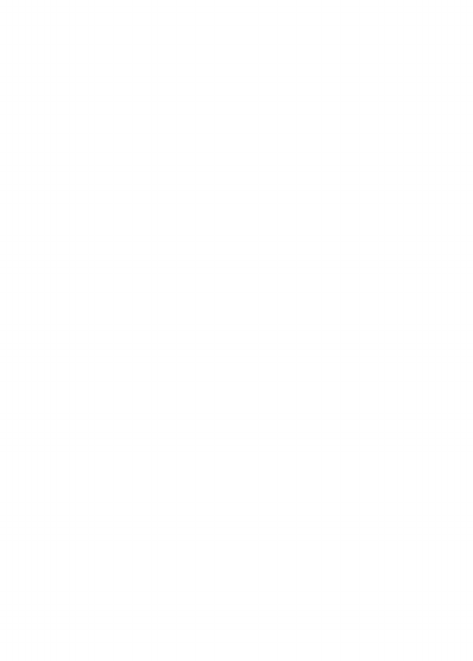then, realizes that knowledge, knower and known are all one. And then he is liberated, he is absorbed in the Absolute Reality and he is "Ego-less."

Parid-uddin Attar, in his famous book, The Birds Parliament, describes this Sufi path in a fascinating story. He tells about <sup>a</sup> multitude of birds who agree to choose the fabulous Simory as their sovereign. They decide to cross the seven dangerous valleys that lie before the Mount of Truth (Ghaph), where Simory lived. Many of them cannot bear the difficulties of the way and change their mind, but thirty of them, overcoming all the difficulties of the seven valleys, reach their goal and enter the dwelling place of Simory, where they see their own reflection in the mirror of truth and realize that Simory is in reality themselves ( Simory in Persian has double meaning; (1) it is <sup>a</sup> name for an imaginary bird and (2) it means thirty birds).

To attempt to describe the seven "Stages" through which <sup>a</sup> Sufi has to go is <sup>a</sup> rather hard task and perhaps could fill volumes of books. I only deal with <sup>a</sup> few characteristics of their liberation and freedom. Those characteristics are poverty, love and finally the concept of "Pana".

Poverty in its common meaning is to have as few material goods as possible, but the Sufi's idea of poverty goes far beyond this. Poverty is not merely lack of wealth, but also lack of desire for wealth. Poverty is to have an empty heart as well as an empty hand. The true Sufi does not have anything both materially and spiritually. He has to give up his

-9-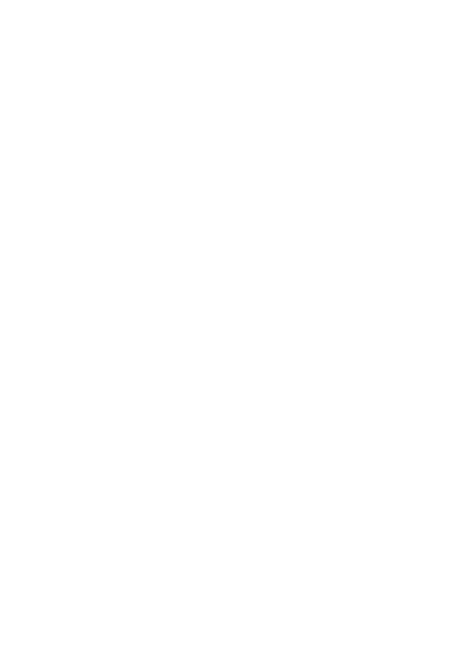"Egoness" and his "I-ness" along with any other property he owns. He has to be detached from everything. In fact the true poverty is found to be concerned with self-denial, in the sense that the true lover has no thought for himself; he considers himself as nonexistent. Perhaps a quote from Jalaliddin Rumi makes it more clear.

> What is to be done, <sup>0</sup> Moslems? for I do not recognize myself. I am neither Christian, nor Jew, nor Gabr (Zoroastrian), nor Moslem. I am not of Nature's mint, nor of circling heavens . I am not of the empyrean, nor of the dust, nor of existence, nor of entity. I am not of earth nor of water, nor of air, nor of fire . I am not of India, nor of China, nor of Bulgaria, nor of Saqsin. I am not of the Kingdom of Iraqain, nor of the country of Khurasan. I am not of this world, nor of the paradise, nor of Hell. I am not Adam, nor of Eve, nor of Eden and Rizwan. My place is the placeless, my trace is the Traceless. This neither body nor soul, for I belong to the soul of the Beloved. I have put duality away, I have seen that the two worlds are one. One I seek, one I know, one I see, one I call. He is the first, He is the last, He Is the outward, He Is the inward. I know none other except Ya Hu' and 'Ya man Hu'. I am intoxicated with love's cup, the two worlds have passed out of my ken. I have no business save carouse and revelry. If once in my life I spent a moment without thee, from that time and from that hour I repent of my life. If once in this world I win a moment with thee. I will trample on both worlds, I will dance in triumph forever.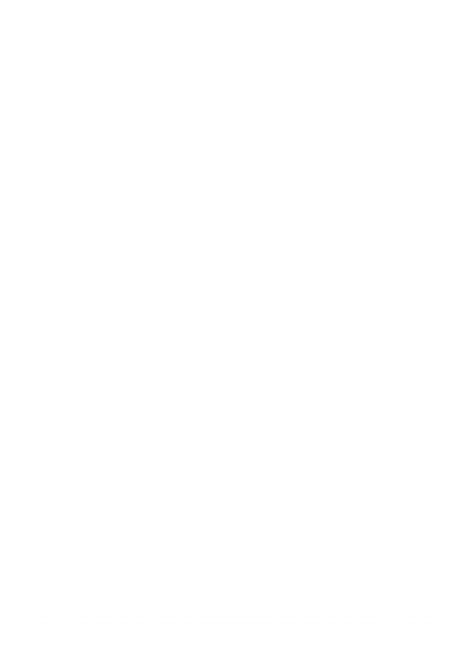<sup>0</sup> Shamsi Tabrez, I am so drunken in this world o change tablez, I am so drunken in this word<br>that except of drunkenness and revelry I have no tale to tell.<sup>4</sup>

Now when the individual self is lost -- when the Sufi is poor truly  $-$ - the universal self is found. That is to say the Sufi then becomes one with the Absolute Reality, he is then liberated from this worldly prison. In order to reach this stage, however, <sup>a</sup> Sufi must have <sup>a</sup> magnificent love and devotion for God. Anybody who is even slightly familiar with the mystical poetry of Persia knows that this aspiration of the soul towards God is expressed beautifully in forms of a mystical poetry. As Ibn-Al-Arabin in a passage translated by Professor Nicholson says:

> Oh, her beauty - the tender maid'. Its brilliance gives light like lamps, to one travelling in the dark. She is <sup>a</sup> pearl hidden in the dark. Hair as black as jet, a pearl for which thought lives and remains unceasingly in the depths of that ocean. He who looks upon her deems her to be a gazelle of the sand-hills, because of her neck and the loveliness of her gestures.<sup>5</sup>

Furthermore, love of the beloved is the supreme principle in Sufism. Love, according to Sufi, is self-renunciation and self-sacrifice. the giving up of everything  $-$ - wealth, honor, desire, life and whatever man values -- for the beloved without any desire of reward. Ba-Ba-Kuhi in the following passage expresses this clearly:

 $4$ Jalaliddin Rumi, Masnavi, (Iran, 1341, a Persian year), p. 601.

 $5R.$  Nicholson, The Mystic of Islam, (London, 1914), p. 125.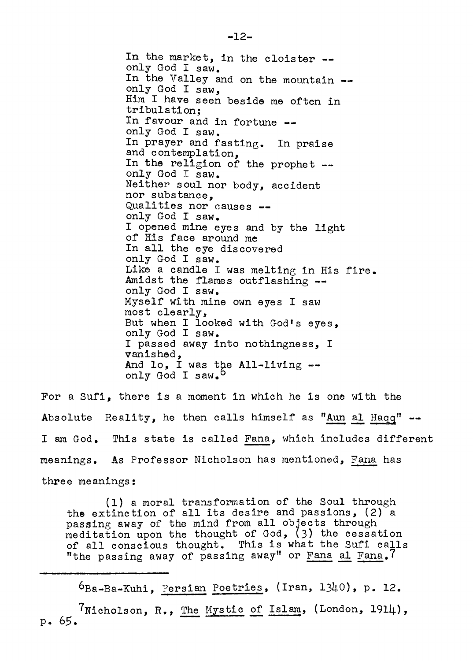In the market, in the cloister -only God I saw. In the Valley and on the mountain -only God I saw, Him I have seen beside me often In tribulation; In favour and in fortune -only God I saw. In prayer and fasting. In praise and contemplation, In the religion of the prophet -only God I saw. Neither soul nor body, accident nor substance, Qualities nor causes - only God I saw. I opened mine eyes and by the light of His face around me In all the eye discovered only God I saw. Like <sup>a</sup> candle I was melting in His fire. Amidst the flames outflashing -only God I saw. Myself with mine own eyes I saw most clearly, But when I looked with God's eyes, only God I saw. I passed away into nothingness, I vanished, And lo, I was the All-living and 10, 1 was out

For <sup>a</sup> Sufi, there is <sup>a</sup> moment in which he is one with the Absolute Reality, he then calls himself as "Aun al Haqg" I am God. This state is called Fana, which includes different meanings. As Professor Nicholson has mentioned, Fana has three meanings:

(1) a moral transformation of the Soul through the extinction of all its desire and passions, (2) <sup>a</sup> passing away of the mind from all objects through meditation upon the thought of God, (3) the cessation of all conscious thought. This is what the Sufi calls "the passing away of passing away" or Fana al Fana.7

P. 65.  $6$ Ba-Ba-Kuhi, Persian Poetries, (Iran, 1340), p. 12. ^Nicholson, R., The Mystic of Islam, (London, 1911}.),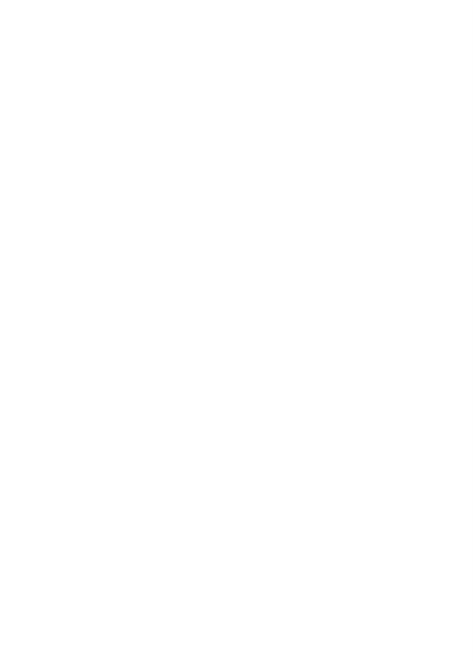In the final stage of Fana the Sufi completely passes away from self, forms, and will remain free forever absorbed in the absolute Reality. Abu-Yusid Bastami describes Fana in the following passage:

The first time I travelled to his uniqueness, I became a bird whose body was of openness, and its wings of everlastingness. I continued to fly in the air of howness ten years, until I had travelled to the air <sup>a</sup> hundred thousand times. I went on flying, until I reached the area of preeternity and there beheld the tree of oneness.

I then saw Him, He unveiled, and I saw that I was I, and I was I, turning back into what<br>I couplet used I was I, turning back into what I sought, and I myself, not other than I, was where I was going.

Then I gazed upon Him with the eye of truth, and said to Him, who is this? He said; this is neither I nor other than I. There is no God but I. Then He changed me out of my identity into His selfhood, and caused me to pass away from my selfhood through His selfhood. Showing me His selfhood uniquely, and I gazed upon with selfhood. Then he said to me "What are you?" I said Then he said to me "What are you?" I said<br>"to Him "What are you?" He said "I am the truth." Lo nim what are you. He said I am the truth.<br>I said, "I am through you." He said, "If you are<br>through I. then I am you and you are I." through I, then I am you. He had through I, then I am you and you are Then I said, "0 You", and He said to me "O You<sub>g</sub>" God's proof to me by Himself, thus,

Having studied all too briefly the chief motives of the Sufi quest, it would complete our knowledge of them to view them engaged upon two of their favourite practices: one distinctly serious, the Zikr; the other, apparently more frivolous, Sama.

It is not easy to find <sup>a</sup> single English term for the word Zikr. In itself it means "remembrance". As used by the mystics, it denotes the devout invocation and repetition

 $B_{\text{Abu-Yusid}}$  Bastami, Whiteman, J.H.M., The Mystical Life, (London, 1961), p. 468.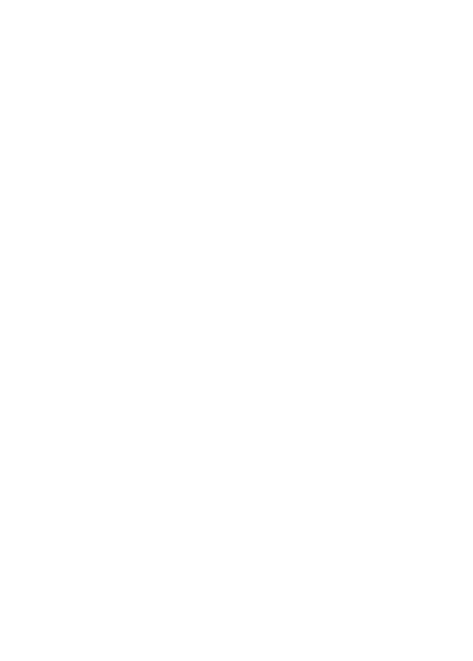of the Holy Name of God, either alone or enshrined in some formula.

<sup>A</sup> number of religious confraternities (tariqas) have their own form of Zikr constituting the service performed by the "brethren", grouped together often on <sup>a</sup> Thursday evening. A Zikr may, however, and often is, gone through in private by single individuals. The words should be repeated <sup>a</sup> great many times, with as great a degree of intense concentration as can be summoned up. Attention should be centered more and more on the meaning or spiritual reality of what is said until the Zakir (rememberer) is not so much busied with the Zikr (remembrance) as with the Muzkur the one invoked or remembered). If the Sufi masters attached so much importance to the practice of Zikr, in the sense explained, it was because they held It to be the best way to impress the mind and to set up the conditions for the achievement of close attention and the concentration of the Soul's powers on that which is the very purpose of the mystical journey. This combination of meditation and invocation produces a climate of confidence and certainty in the soul and prepares it for the state of contemplation, which is the wayfarer's goal and object.

Ghazali, in his Persian poetic work, the Kimyayi Sa Adat (Philosopher's stone of happiness), as well as in his great Arabic work, the Ihya Vlum ed Din, enters Into great detail as to the nature and the advantages of this practice. The first degree in it, 'Common Invocation', even though it

 $-11-$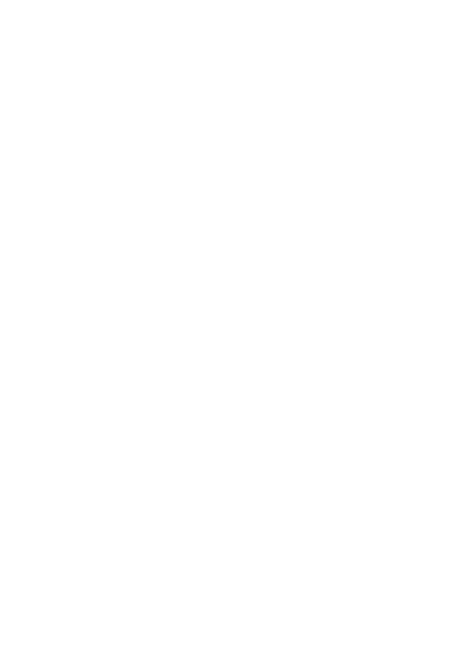may amount simply to the external invocation of the holy name, is of value "since it denotes that the state of carelessness and indifference has been set aside."<sup>9</sup> Indeed, one who has dismissed carelessness (Ghiflat) is already a Zakir, even if his tongue be silent.

<sup>A</sup> higher degree comes when the Zakir "tears off the veil of reason and with his whole heart fixes his attention on the Lord. "10 The highest degree of all is that of the Zakir who becomes fani (lost) in truth  $-$ - that is God. At first the adept has constantly to take pains lest his soul drift back into its natural state of carelessness and inattention. But, as he acquires greater mastery, the Zikr takes such <sup>a</sup> hold on him that it can with difficulty be driven out by any other thought or fancy. The supreme degree, however, comes when the one invoked takes possession of the heart, for as Ghazali says, "There is <sup>a</sup> great difference between one who loves the invoked one and one who loves the invocation." $11$  Perfection lies in this, that the invocation and all consciousness of it vanish from the heart and He who is invoked alone remains there. Zikr, or remembrance, centered on the repetition of some devout formula, as opposed to Nisyan ( forge tfulne ss ) .

In the Surat al Kahf we read: "Remember me when you have forgotten". The value comes from the essence of the

> $9$ Ghazali, S., Kimyayi Sa Adat, (Iran, 1341), p. 900.  $^{10}$ Ibid., p. 920.

 $\mathsf{u}_{\texttt{Ibid.}}$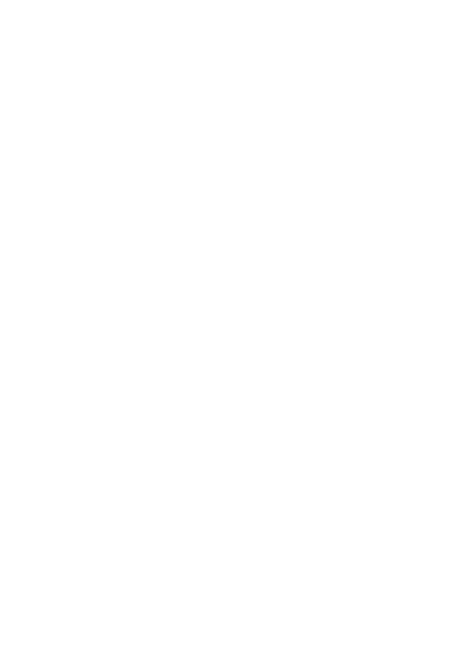contents of La ilaha illa llah which is both negation (la ilaha, there is no God) and affirmation (illallah, save God alone). Thus by inculcating the remembrance of God alone, the Zikr is stripped of the clothing of letters and forms and in the glory of the light of the sublime deity, the property of Kullu Shayin halikun illa wazhaha (all passes away except His face) is made manifest.

Having prepared <sup>a</sup> room which is empty, dark and clean, let him (a murshid is preparing there for his murid) sit there, cross-legged, facing the Qibla (direction of ellekka) laying his hands on his thighs, let him stir up his heart to wakefulness, keeping a guard on his eyes. Then, with profound veneration, he should say aloud La ilaha illa llah. The la ilaha should be fetched from the root of the navel and the ilia llah drawn into the heart, so that the powerful effects of the Zikr may make themselves felt In all the limbs and organs. But let him not raise voice too loud. He should strive, as far as possible, to damp and lower it, according to the words "Invoke the Lord in thyself humbly and with compunction, with out publicity of speech" (Surat al A'raf).

Sama (audition). The other method much favoured by the Sufis, In the wake of the great aesthetic Jalaled Din Rumi, with a view to encouraging and reinforcing ecstacy and trance, is known as <u>Sama</u>, literally "listening" or audition. It is good to know that all Persian poetry, the mystical sort not the least, Is intended to be chanted either to <sup>a</sup> regular tune or in free musical Improvisation. The best known chant

-16-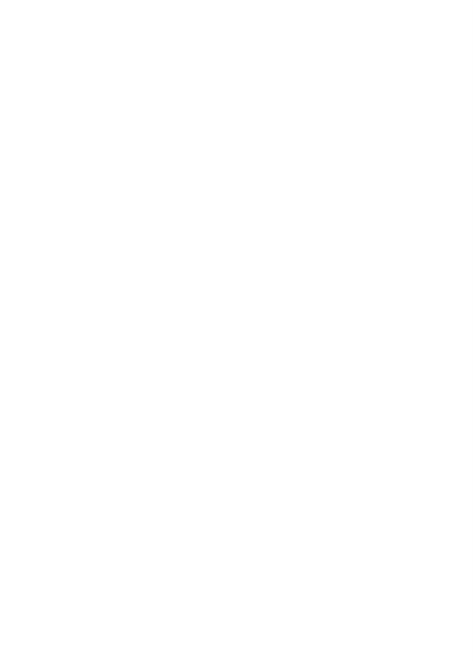of this kind, as might have been expected, is that to which the Masnavi of Mulana Rumi is sung. The Persians are very sensitive to the influence of music and song. When the Sufis began to introduce mystical concerts and dances into their regime, they were roundly reproached and condemned by the old orthodox school, Rumi and his followers gave themselves up without compunction to the ecstasy caused by the Sama (audition) of instrumental music or of songs which, on the face of it, often expressed profane love. Dancing was also pressed Into the service of the mystical spirit. Rumi com posed some of his most wonderful lyrics and couplets while gyrating endlessly around a column in his convent (Khanegah).

Indeed the principal Zikr of the Order of Mevleni dervishes, which he founded, may be said to have consisted in the planetary round where the brethren, in a white robed circle, recited the Zikr in <sup>a</sup> form which became more and more simplified as they swayed up and down, awaiting the entrance of the chief performer who spun around, arms extended, in their midst for an incredibly long time. This figure is thought to have represented the solar system and recalled, perhaps, the deep rooted mystical belief in the music of the spheres, of which earthly music and rhythm are ecstasy causing reminders (anamnesis).

Mulana Rumi, in the fourth book of the Masnavi, says (in Professor Nicholson's translation):

His object in listening to the sound of the rubath was, like that of ardent lovers of God, to bring to his mind the phantasy of that divine

-17-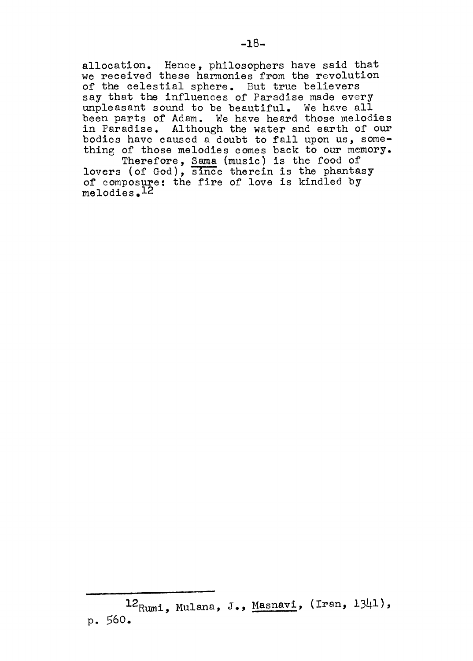allocation. Hence, philosophers have said that we received these harmonies from the revolution of the celestial sphere. But true believers say that the influences of Paradise made every unpleasant sound to be beautiful. We have all been parts of Adam. We have heard those melodies in Paradise. Although the water and earth of our bodies have caused <sup>a</sup> doubt to fall upon us, some thing of those melodies comes back to our memory.

Therefore, Sama (music) is the food of lovers (of God), since therein is the phantasy of composure: the fire of love is kindled by melodies.<sup>12</sup>

12<sub>Rumi,</sub> Mulana, J., <u>Masnavi</u>, (Iran, 1341), 560.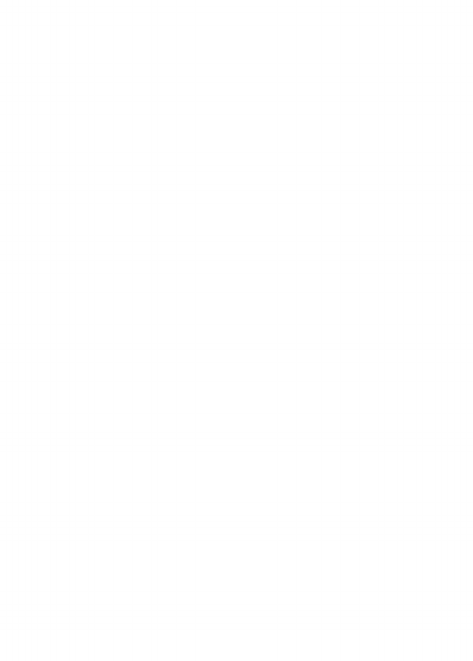In studying the Persian mystic, I found some similarities between the Sufi and the true craftsman; the craftsman is obliged to total devotion toward the object which he is creating and intense concentration on the form which is coming into existence. The discipline which is required for both paths are similar in essence.

As for the practical parts, in both paths  $-$ - crafts (weaving) and mysticism  $--$  we see great similarities. For example, in the process of Zikr, the Sufi has to clear his mind from everything but God and, time after time, he has to repeat <sup>a</sup> same sentence. This use of repetition, and monotony exists similarly in the process of weaving. Each time one has to raise a harness and pass <sup>a</sup> thread through the shed and beat the thread down, and raise up the second harness and so on .... by becoming totally involved in the process, one can reach the same state of tranquillity.

For me, <sup>a</sup> medium is only <sup>a</sup> tool for self-expression. Why I chose yarn goes back to where I came from: Persia. There, every home is furnished with hand woven rugs; a result of many years of hard work and endeavor and hours of concentration. I was always astounded by the Arabesque design of our rugs, and the colorful ornament of the rugs would take me to <sup>a</sup> world of mystery. For me, art is <sup>a</sup> way of living and perceiving the world. I always like to work with <sup>a</sup> sense of anticipation for I never know what will happen. My concern

-19-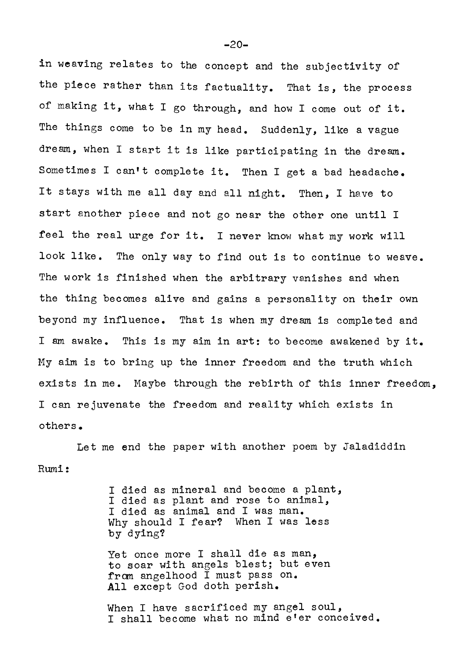in weaving relates to the concept and the subjectivity of the piece rather than its factuality. That is, the process of making it, what I go through, and how I come out of it. The things come to be in my head. Suddenly, like a vague dream, when I start it is like participating in the dream. Sometimes I can't complete it. Then <sup>I</sup> get <sup>a</sup> bad headache. It stays with me all day and all night. Then, <sup>I</sup> have to start another piece and not go near the other one until I feel the real urge for it. I never know what my work will look like. The only way to find out is to continue to weave. The work is finished when the arbitrary vanishes and when the thing becomes alive and gains a personality on their own beyond my influence. That is when my dream is completed and I am awake. This is my aim In art: to become awakened by it. My aim is to bring up the inner freedom and the truth which exists in me. Maybe through the rebirth of this inner freedom, I can rejuvenate the freedom and reality which exists in others.

Let me end the paper with another poem by Jaladiddin Rumi:

> I died as mineral and become a plant, I died as plant and rose to animal, I died as animal and I was man. Why should I fear? When I was less by dying?

Yet once more I shall die as man, to soar with angels blest; but even from angelhood I must pass on. All except God doth perish.

When I have sacrificed my angel soul, I shall become what no mind e'er conceived.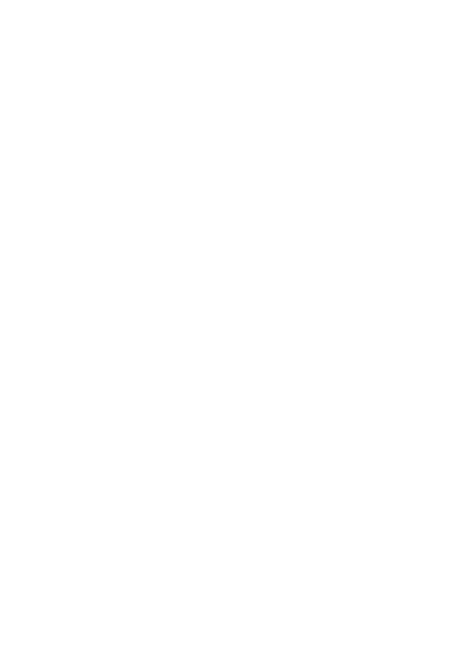Oh, let me not existl For non-existence proclaims in organ tones, To Him we shall return. $113$ 

<sup>13</sup> $_{\text{Jall}}$ adiddin Rumi, Masnavi, (Iran, 1341), p. 501.